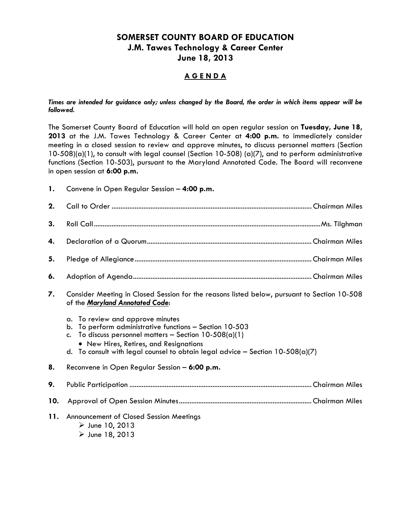## **SOMERSET COUNTY BOARD OF EDUCATION J.M. Tawes Technology & Career Center June 18, 2013**

## **A G E N D A**

#### *Times are intended for guidance only; unless changed by the Board, the order in which items appear will be followed.*

The Somerset County Board of Education will hold an open regular session on **Tuesday, June 18, 2013** at the J.M. Tawes Technology & Career Center at **4:00 p.m.** to immediately consider meeting in a closed session to review and approve minutes, to discuss personnel matters (Section  $10-508$ (a)(1), to consult with legal counsel (Section 10-508) (a)(7), and to perform administrative functions (Section 10-503), pursuant to the Maryland Annotated Code. The Board will reconvene in open session at **6:00 p.m.**

| 1. | Convene in Open Regular Session - 4:00 p.m. |  |  |  |
|----|---------------------------------------------|--|--|--|
|----|---------------------------------------------|--|--|--|

| 2.  |                                                                                                                                                                                                                                                                                                                   |  |  |  |
|-----|-------------------------------------------------------------------------------------------------------------------------------------------------------------------------------------------------------------------------------------------------------------------------------------------------------------------|--|--|--|
| 3.  |                                                                                                                                                                                                                                                                                                                   |  |  |  |
| 4.  |                                                                                                                                                                                                                                                                                                                   |  |  |  |
| 5.  |                                                                                                                                                                                                                                                                                                                   |  |  |  |
| 6.  |                                                                                                                                                                                                                                                                                                                   |  |  |  |
| 7.  | Consider Meeting in Closed Session for the reasons listed below, pursuant to Section 10-508<br>of the Maryland Annotated Code:                                                                                                                                                                                    |  |  |  |
|     | To review and approve minutes<br>$\alpha$ .<br>To perform administrative functions - Section 10-503<br>b.<br>To discuss personnel matters - Section $10-508(a)(1)$<br>$C_{\bullet}$<br>• New Hires, Retires, and Resignations<br>d. To consult with legal counsel to obtain legal advice - Section $10-508(a)(7)$ |  |  |  |
| 8.  | Reconvene in Open Regular Session - 6:00 p.m.                                                                                                                                                                                                                                                                     |  |  |  |
| 9.  |                                                                                                                                                                                                                                                                                                                   |  |  |  |
| 10. |                                                                                                                                                                                                                                                                                                                   |  |  |  |
| 11. | Announcement of Closed Session Meetings<br>$\triangleright$ June 10, 2013<br>$\triangleright$ June 18, 2013                                                                                                                                                                                                       |  |  |  |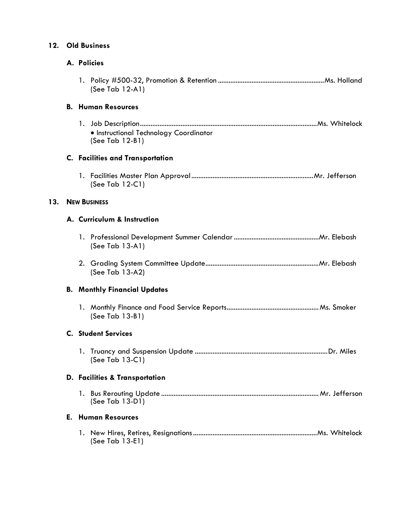# **12. Old Business**

**13.** 

## **A. Policies**

| (See Tab $12-A1$ )                                        |  |  |  |
|-----------------------------------------------------------|--|--|--|
| <b>B. Human Resources</b>                                 |  |  |  |
| • Instructional Technology Coordinator<br>(See Tab 12-B1) |  |  |  |
| <b>C.</b> Facilities and Transportation                   |  |  |  |
| (See Tab 12-C1)                                           |  |  |  |
| <b>NEW BUSINESS</b>                                       |  |  |  |
| A. Curriculum & Instruction                               |  |  |  |
| (See Tab 13-A1)                                           |  |  |  |
| (See Tab 13-A2)                                           |  |  |  |
| <b>B. Monthly Financial Updates</b>                       |  |  |  |
| (See Tab 13-B1)                                           |  |  |  |
| <b>C.</b> Student Services                                |  |  |  |
| (See Tab $13-C1$ )                                        |  |  |  |
| <b>D. Facilities &amp; Transportation</b>                 |  |  |  |
| (See Tab 13-D1)                                           |  |  |  |
| <b>E. Human Resources</b>                                 |  |  |  |
| (See Tab $13-E1$ )                                        |  |  |  |